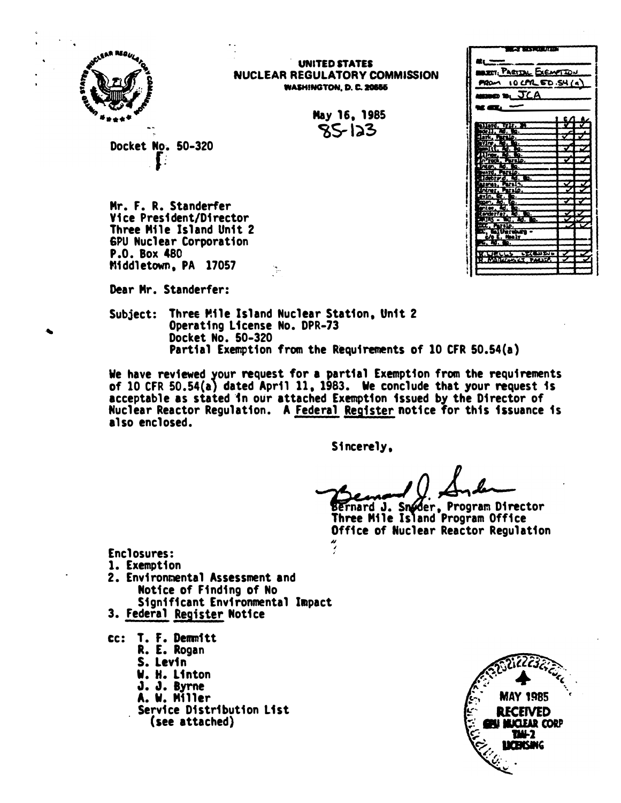

. UNITED STATES NUCLEAR REGULATORY COMMISSION **WASHINGTON, D. C. 20555** 

> May 16, 1985  $85-123$

Docket Mo. 50-320  $\mathbf{I}$ :

Mr. F. R. Standerfer Vice President/Director Three Mile Island Unit 2 6PU Nuclear Corporation P.O. Box 480 Middletown, PA 17057

Dear Mr. Standerfer:

Subject: Three Mile Island Nuclear Station, Unit 2 Operating license No. DPR-73 Docket No. 50-320 Partial Exemption from the Requirements of 10 CFR 50.54(a)

 $\mathcal{L}_{\mathcal{L}}$ 

We have reviewed your request for a partial Exemption from the requirements of 10 CFR 50.54(a} dated April 11, 1983. We conclude that your request is acceptable as stated in our attached Exemption issued by the Director of Nuclear Reactor Regulation. A Federal Resister notice for this issuance is also enclosed.

> I ,.

Sincerely,

Bernard J. Snøder, Program Director Three Mile Island Program Office Office of Nuclear Reactor Regulation ��

Enclosures:

- 1. Exemption
- 2. Environmental Assessment and Motfce of Finding of No Significant Environmental Iaapact
- 3. Federal Register Motice
- tc: T. F. Demm1tt
	- R. E. Rogan
	- S. Levin
	- W. H. Linton
	- J. J. Byrne
	- A. W. Miller
	- Service Distribution list (see attached)



**•t. Louis . come . comme . commentant . commentant** BARTIN EXEMPTEN PROM 10 CPR 50.54 (4)

**CA MY RAILWAY** 

 $\mathbf{K}$  and  $\mathbf{K}$  and  $\mathbf{K}$ 

 $\cos \theta$ ,  $\text{JCA}$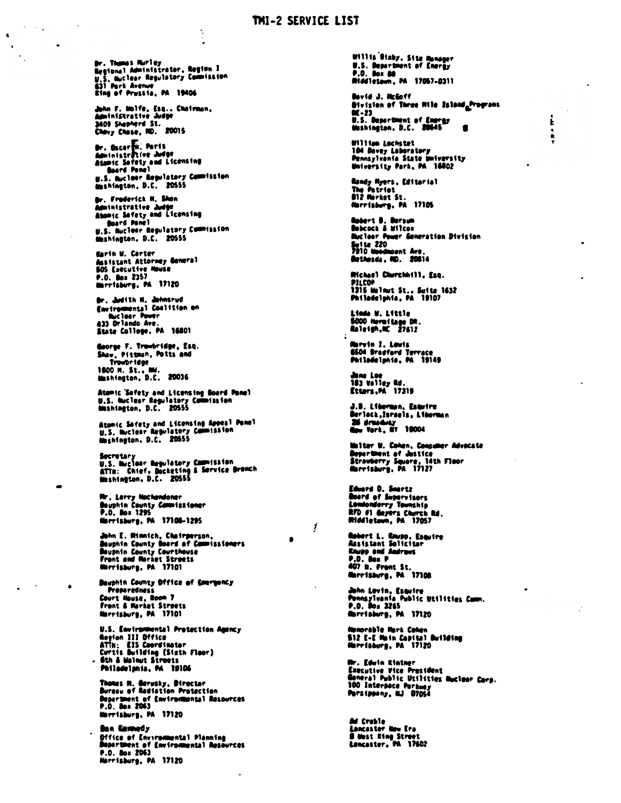## THI-2 SERVICE LIST

Dr. Thumas Murley<br>Megional Administrator, Region I<br>U.S. Muclear Regulatory Commission 631 Park Avenue<br>Eing of Prussia, PA 19406

John F. Molfe, Esq., Chairman,<br>Administrative Judge 3409 Shepherd St.<br>Chavy Chase, NO. 20015

Dr. Oscarti: Ports<br>Administrative Judge<br>Atomic Sofety and Licensing Board Panel<br>U.S. Bucleor Repulatory Commission<br>Mashington, D.C. 20555

Or. Frederick N. Shon Administrative Judge Abonic Sefety and Licensing Board Panel u.s. Nuclear Regulatory Commission<br>Mashington, D.C. 20555

Karin M. Certer Assistant Attorney General 505 Executive House<br>P.O. Box 2357<br>Marrisburg, PA 17120

Br. Judith N. Johnsrud Environmental Coalition on 433 Orlando Ave.<br>State College, PA 16801

Goorge F. Tr<del>aibridge,</del> Esq.<br>Shaw, Pittman, Potts and Troubridge 1800 H. St., NW.<br>Mashington, D.C. 20036

Atomic 'Safety and Licensing Board Panel<br>U.S. Nuclear Regulatory Commission<br>Mashington, D.C. 20555

Atomic Sefety and Licensing Appeal Pamel<br>U.S. Nuclear Regulatory Commission<br>Nashington, D.C. 20555

Secretary<br>U.S. Huclaar Regulatory Commission<br>ATTN: Chief, Docketing & Service Dromch<br>Mashington, D.C. 20555

Nr. Larry Nachendoner Deuphin County Commissioner<br>P.O. Box 1295<br>Marrisburg, PA 17100-1295

John E. Minnich, Chairperson,<br>Beuphin County Board of Cammissioners Beuphin County Courthouse<br>Front and Morket Streets<br>Morrisburg, PA 17101

Bauphin County Office of Courgency Preparedness<br>Court House, Room 7<br>Front & Market Streets Norrisburg, PA 17101

U.S. Environmental Protection Agency<br>Region III Office NETH: EIS Coordinator<br>Curtis Building (Sizth Floor)<br>Gth & Malnut Streets<br>Philadelphia, PA 19106

Thomas H. Gerusky, Diractor<br>Dureau of Radiation Protection<br>Departmen<u>t of Environmental Resources</u> P.O. Box 2063<br>Marrisburg, PA 17120

**finn Kennedy Configuration**<br>Defice of Environmental Planning<br>Department of Environmental Resources<br>P.O. Box 2063 Harrisburg, PA 17120

Ufilis Bizby, Site Monager<br>U.S. Department of Energy<br>P.O. Dox 80 Riddletom, PA 17057-0311

Bavid J. Neloff Division of Three Hile Island Programs  $\overline{\mathbf{2}}$  - 23 U.S. Department of Emergy<br>Mashington, D.C. 20045

 $\mathbf{i}$ 

 $\ddot{\bullet}$ 

**Milian Lochstet** 104 Davey Laboratory Pennsylvania State Mniversity University Park, PA 16802

**Randy Myers, Editorial** The Patriot 812 Morket St Narrisburg, PA 17105

**Robert B. Doraum**<br>Debcock & Wilcox **Buclear Power Generation Division** Seite 220<br>7910 Woodmount Ave.<br>Bethesda, ND. 20014

Wichael Churchhill, Esn. PILCOP<br>1315 Melnut St., Suite 1632<br>Philadelphia, PA 19107

Lindo W. Little<br>5000 Mermitage DR.<br>Raleigh,NC 27612

Marvin I. Lauis 6504 Bradford Terrace<br>Philadelphia, PA 19149

has Lee 183 valley Rd.<br>Etters, PA 17319

J.B. Liberman, Esquire<br>Berlock,Israels, Liberman 25 drasday

Uniter M. Cohen, Consumer Advacate<br>Department of Justice<br>Strawberry Square, 14th Floor<br>Marrisburg, PA 17127

Edward D. Smartz<br>Board of Supervisors Londonderry Township<br>RFD #1 deyers Church Rd.<br>Middletown, PA 17057

۶

**Robert L. Knupp, Esquire<br>Assistant Solicitor<br>Knupp and Androus P.O.** Box P<br>407 N. Front St. Marrisburg, PA 17108

John Levin, Esquire<br>Ponnsylvania Public Utilities Comm.<br>P.O. Box 3265<br>Marriaburg, PA 17120

Numorable Mark Cohen<br>512 E-E Main Capital Building<br>Marrisburg, PA 17120

**Mr. Edula Elataer** We sure where:<br>Executive Vice President<br>General Public Utilities Muclear Corp. 100 Interpace Parkway

**Ad Crable<br>Lancaster New Era** Suncesser and are<br>8 Mest King Street<br>Lancaster, PA 17602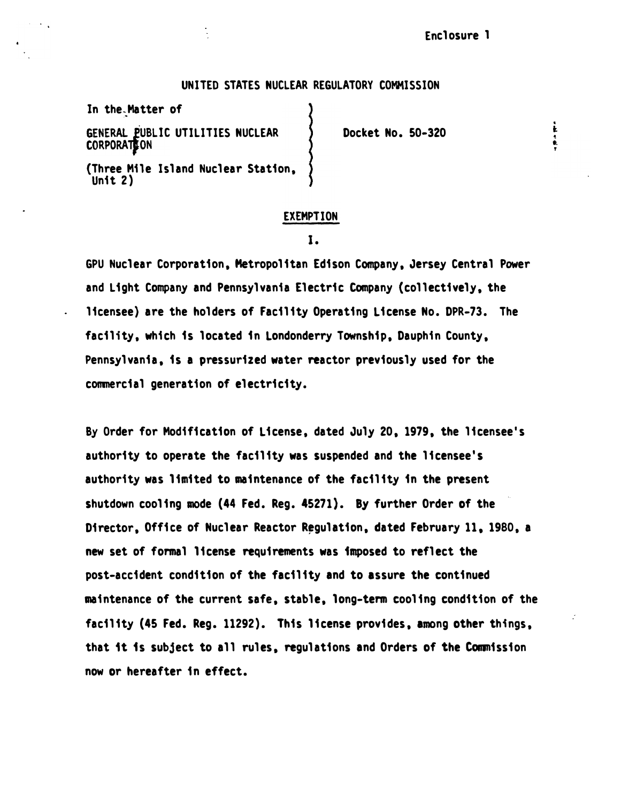. t

## UNITED STATES NUCLEAR REGULATORY COMMISSION

In the-Matter of

GENERAL PUBLIC UTILITIES NUCLEAR **CORPORATE ON** (Three Mile Island Nuclear Station, Unit 2)

Docket No. 50-320

#### EXEMPTION

1.

GPU Nuclear Corporation, Metropolitan Edison Company, Jersey Central Power and Light Company and Pennsylvania Electric Company (collectively, the licensee) are the holders of Facility Operating License No. DPR-73. The facility. which is located in Londonderry Township, Dauphin County, Pennsylvania, is a pressurized water reactor previously used for the commercial generation of electricity.

By Order for Modification of License. dated July 20, 1979, the licensee's authority to operate the facility was suspended and the licensee's authority was limited to maintenance of the facility in the present shutdown cooling mode (44 Fed. Reg. 45271). By further Order of the Director, Office of Nuclear Reactor Regulation, dated February 11, 1980, a new set of formal license requirements was imposed to reflect the post-accident condition of the facility and to assure the continued maintenance of the current safe, stable, long-term cooling condition of the facility (45 Fed. Reg. 11292). This license provides, among other things, that 1t is subject to all rules. regulations and Orders of the Commission now or hereafter in effect.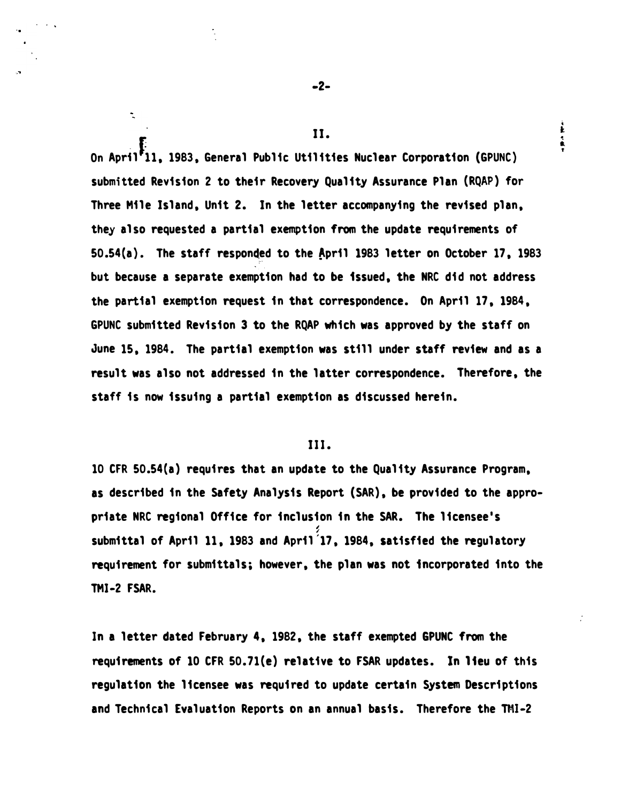On April<sup>8</sup>11, 1983, General Public Utilities Nuclear Corporation (GPUNC) submitted Revision 2 to their Recovery Quality Assurance Plan (RQAP) for Three Mile Island, Unit 2. In the letter accompanying the revised plan, they also requested a partial exemption from the update requirements of  $50.54(a)$ . The staff responded to the April 1983 letter on October 17, 1983 but because a separate exemption had to be issued, the NRC did not address the partial exemption request in that correspondence. On April 17, 1984, GPUNC submitted Revision 3 to the RQAP which was approved by the staff on June 15, 1984. The partial exemption was still under staff review and as a result was also not addressed in the latter correspondence. Therefore, the staff is now issuing a partial exemption as discussed herein.

## III.

10 CFR 50.54(a) requires that an update to the Quality Assurance Program, as described in the Safety Analysis Report (SAR), be provided to the appropriate NRC regional Office for inclusion in the SAR. The licensee's ', submittal of April 11, 1983 and April '17, 1984, satisfied the regulatory requirement for submittals; however, the plan was not incorporated into the TMI-2 FSAR.

In a letter dated February 4, 1982, the staff exempted GPUNC from the requirements of 10 CFR 50.71(e) relative to FSAR updates. In lieu of this regulation the licensee was required to update certain System Descriptions and Technical Evaluation Reports on an annual basis. Therefore the TMI-2

..

 $\ddot{\phantom{1}}$ 

II.

 $\mathbf{\dot{r}}$ 

÷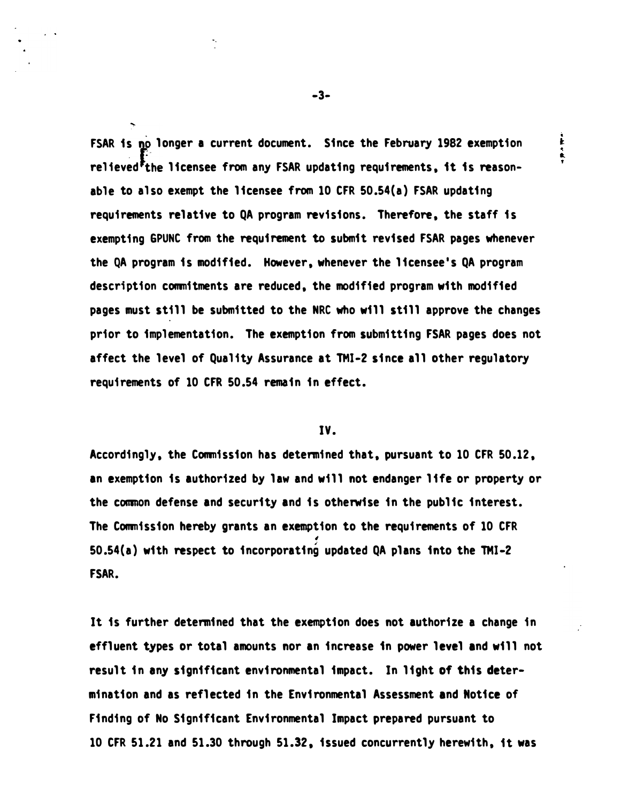FSAR is no longer a current document. Since the February 1982 exemption relieved<sup>F</sup>the licensee from any FSAR updating requirements, it is reasonable to also exempt the licensee from 10 CFR 50.54(a) FSAR updating requirements relative to QA program revisions. Therefore, the staff is exempting GPUNC from the requirement to submit revised FSAR pages whenever the QA program is modified. However, whenever the licensee's QA program description commitments are reduced, the modified program with modified pages must still be submitted to the NRC who will still approve the changes prior to implementation. The exemption from submitting FSAR pages does not affect the level of Quality Assurance at TMI-2 since all other regulatory requirements of 10 CFR 50.54 remain in effect.

## IV.

Accordingly, the Commission has determined that, pursuant to 10 CFR 50.12, an exemption is authorized by law and will not endanger life or property or the common defense and security and is otherwise in the public interest. The Commission hereby grants an exemption to the requirements of 10 CFR i 50.54(a) with respect to incorporating updated QA plans into the TMI-2 FSAR.

It is further determined that the exemption does not authorize a change in effluent types or total amounts nor an increase in power level and will not result in any significant environmental impact. In light of this determination and as reflected in the Environmental Assessment and Notice of Finding of No Significant Environmental Impact prepared pursuant to 10 CFR 51.21 and 51.30 through 51.32, issued concurrently herewith, it was

-3-

ì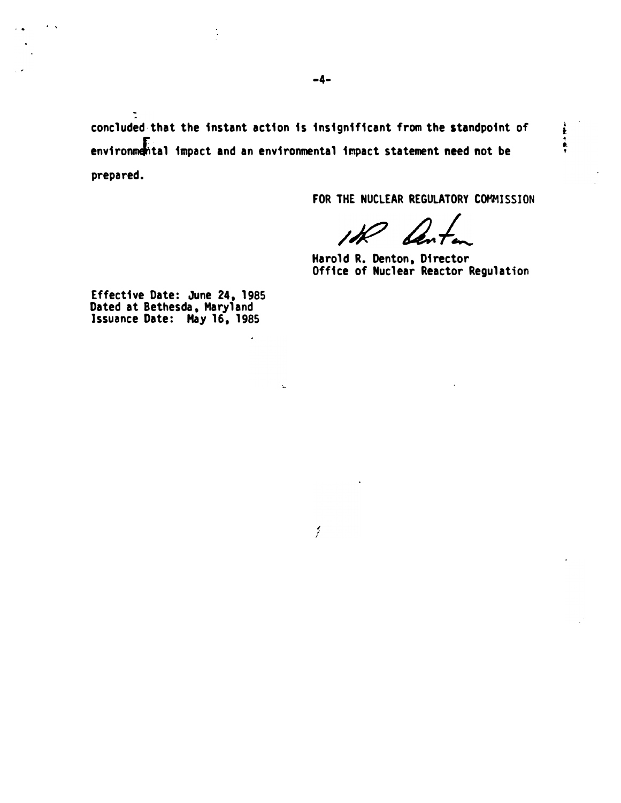concluded· that the instant action is insignificant from the standpoint of environmental impact and an environmental impact statement need not be prepared.

FOR THE NUCLEAR REGULATORY COMMISSION

医鼻炎病

Harold R. Denton, Director Office of Nuclear Reactor Regulation

Effective Date: June 24, 1985 Dated at Bethesda, Maryland Issuance Date: May 16, 1985

 $\overline{a}$ 

k.

Í.

 $\ddot{\cdot}$ 

. '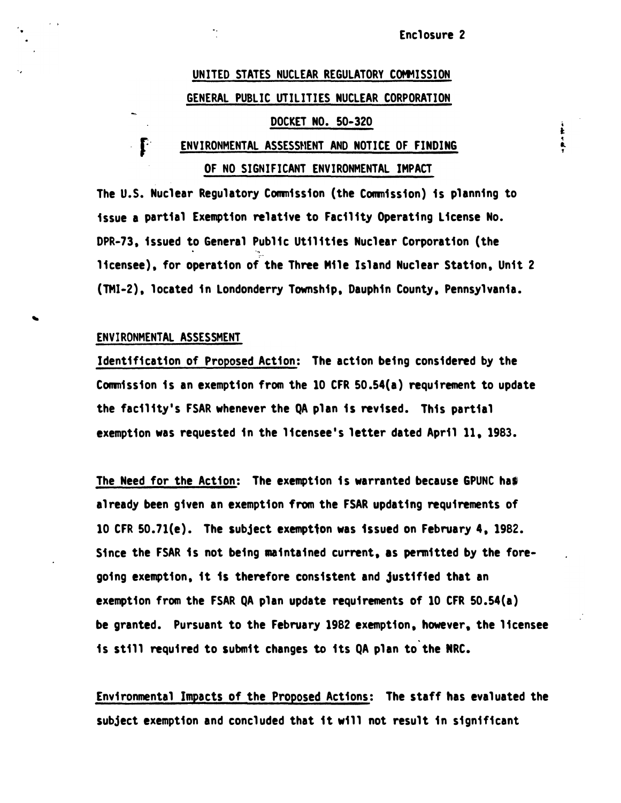į  $\frac{1}{2}$ 

# UNITED STATES NUCLEAR REGULATORY COMMISSION GENERAL PUBLIC UTILITIES NUCLEAR CORPORATION DOCKET NO. 50-320

## $\cdot$   $\mathbf{f}$  : ENVIRONMENTAL ASSESSMENT AND NOTICE OF FINDING OF NO SIGNIFICANT ENVIRONMENTAL IMPACT

The u.s. Nuclear Regulatory Commission (the Commission) is planning to issue a partial Exemption relative to Facility Operating License No. DPR-73, issued to General Public Utilities Nuclear Corporation (the  $\bullet$   $\bullet$   $\bullet$   $\bullet$   $\bullet$ licensee), for operation of the Three Mile Island Nuclear Station, Unit 2 (TMI-2), located in Londonderry Township, Dauphin County, Pennsylvania.

## ENVIRONMENTAL ASSESSMENT

Identification of Proposed Action: The action being considered by the Commission is an exemption from the 10 CFR 50.54(a) requirement to update the facility's FSAR whenever the QA plan is revised. This partial exemption was requested in the licensee's letter dated April 11. 1983.

The Need for the Action: The exemption is warranted because GPUNC has already been given an exemption from the FSAR updating requirements of 10 CFR 50.7l(e). The subject exemption was issued on February 4, 1982. Since the FSAR 1s not being meintained current, as permitted by the foregoing exemption, it 1s therefore consistent and justified that an exemption from the FSAR QA plan update requirements of 10 CFR 50.54(a) be granted. Pursuant to the February 1982 exemption, however, the licensee is still required to submit changes to its QA plan to the NRC.

Environmental Impacts of the Proposed Actions: The staff has evaluated the subject exemption and concluded that it will not result in significant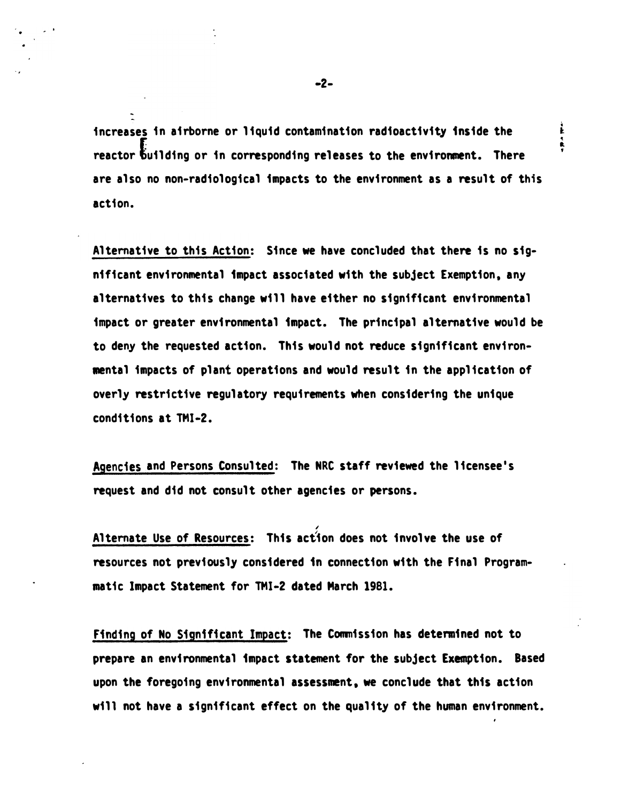increases in airborne or liquid contamination radioactivity inside the reactor building or in corresponding releases to the environment. There are also no non-radiological impacts to the environment as a result of this action.

Alternative to this Action: Since we have concluded that there is no significant environmental impact associated with the subject Exemption, any alternatives to this change will have either no significant environmental impact or greater environmental impact. The principal alternative would be to deny the requested action. This would not reduce significant environwental impacts of plant operations and would result in the application of overly restrictive regulatory requirements when considering the unique conditions at TMI-2.

Agencies and Persons Consulted: The NRC staff reviewed the licensee's request and did not consult other agencies or persons.

Alternate Use of Resources: This action does not involve the use of resources not previously considered 1n connection with the Final Programmatic Impact Statement for TMI-2 dated March 1981.

/

Finding of No Significant Impact: The Commission has determined not to prepare an environmental impact statement for the subject Exemption. Based upon the foregoing environmental assessment, we conclude that this action will not have a significant effect on the quality of the human environment.

i 1 • R. '

•

. '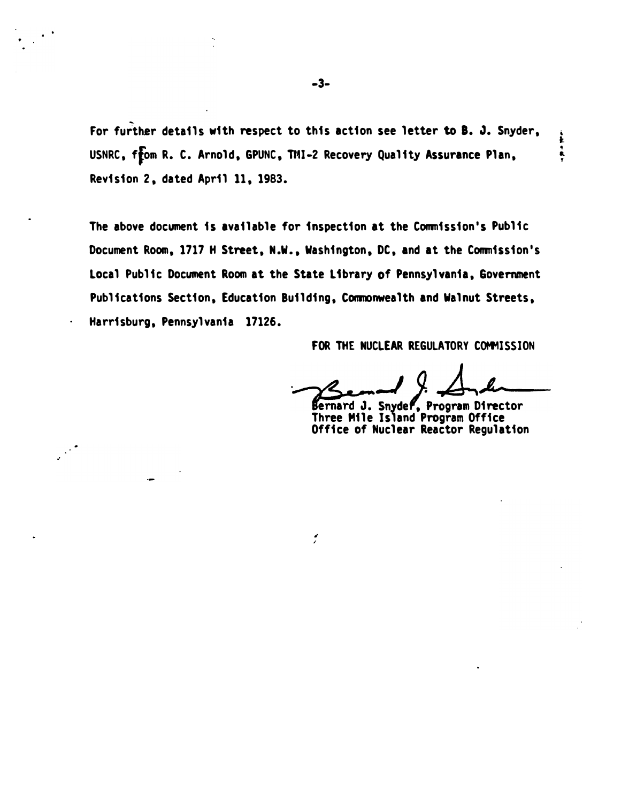For further details with respect to this action see letter to 8. J. Snyder, USNRC, from R. C. Arnold, GPUNC, TMI-2 Recovery Quality Assurance Plan, Revision 2, dated April 11, 1983.

The above document is available for inspection at the Commission's Public Document Room, 1717 H Street, N.W., Washington, DC, and at the Commission's Local Public Document Room at the State Library of Pennsylvania, Government Publications Section, Education Building, Commonwealth and Walnut Streets, Harrisburg, Pennsylvania 17126.

• /

FOR THE NUCLEAR REGULATORY COMMISSION

Ł  $\frac{1}{\tau}$ 

Bernard J. J. J. Luccent

Three Mile Island Program Office Office of Nuclear Reactor Regulation